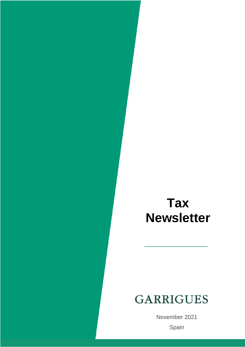# **Tax Newsletter**

# **GARRIGUES**

 $C_{\text{nonin}}$ November 2021 Spain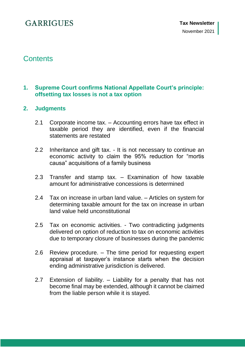## **Contents**

## **1. [Supreme Court confirms National Appellate Court's principle:](#page-5-0)  [offsetting tax losses is not a tax option](#page-5-0)**

## **2. [Judgments](#page-7-0)**

- 2.1 Corporate income tax. [Accounting errors have tax effect in](#page-7-1)  [taxable period they are identified, even if the financial](#page-7-1)  [statements are restated](#page-7-1)
- 2.2 Inheritance and gift tax. [It is not necessary to continue an](#page-7-2)  [economic activity to claim the 95% reduction for "mortis](#page-7-2)  [causa" acquisitions of a family business](#page-7-2)
- 2.3 Transfer and stamp tax. [Examination of how taxable](#page-8-0)  [amount for administrative concessions is determined](#page-8-0)
- 2.4 [Tax on increase in urban land value. –](#page-8-1) Articles on system for [determining taxable amount for the tax on increase in urban](#page-8-1)  [land value held unconstitutional](#page-8-1)
- 2.5 Tax on economic activities. [Two contradicting judgments](#page-9-0)  delivered [on option of reduction to tax on economic activities](#page-9-0)  [due to temporary closure of businesses during the pandemic](#page-9-0)
- 2.6 Review procedure. [The time period for requesting expert](#page-9-1)  [appraisal at taxpayer's instance starts when the decision](#page-9-1)  [ending administrative jurisdiction is delivered.](#page-9-1)
- 2.7 Extension of liability. [Liability for a penalty that has not](#page-10-0)  [become final may be extended, although it cannot be claimed](#page-10-0)  [from the liable person while it is stayed.](#page-10-0)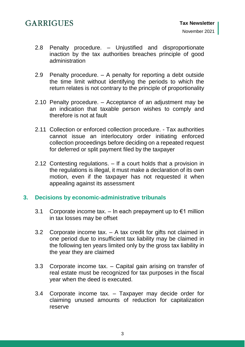- 2.8 Penalty procedure. [Unjustified and disproportionate](#page-10-1)  [inaction by the tax authorities breaches principle of good](#page-10-1)  [administration](#page-10-1)
- 2.9 Penalty procedure. [A penalty for reporting a debt outside](#page-11-0)  [the time limit without identifying the periods to which the](#page-11-0)  [return relates is not contrary to the principle of proportionality](#page-11-0)
- 2.10 Penalty procedure. [Acceptance of an adjustment may be](#page-12-0)  [an indication that taxable person wishes to comply and](#page-12-0)  [therefore is not at fault](#page-12-0)
- 2.11 [Collection or enforced collection procedure. -](#page-12-1) Tax authorities [cannot issue an interlocutory order initiating enforced](#page-12-1)  [collection proceedings before deciding on a repeated request](#page-12-1)  [for deferred or split payment filed by the taxpayer](#page-12-1)
- 2.12 Contesting regulations. [If a court holds that a provision in](#page-13-0)  [the regulations is illegal, it must make a declaration of its own](#page-13-0)  [motion, even if the taxpayer has not requested it when](#page-13-0)  [appealing against its assessment](#page-13-0)

## **3. Decisions [by economic-administrative tribunals](#page-14-0)**

- 3.1 Corporate income tax. In each prepayment up to  $\epsilon$ 1 million in tax losses [may be offset](#page-14-1)
- 3.2 Corporate income tax. [A tax credit for gifts not claimed in](#page-14-2)  [one period due to insufficient tax liability may be claimed in](#page-14-2)  [the following ten years limited only by the gross tax liability in](#page-14-2)  [the year they](#page-14-2) are claimed
- 3.3 Corporate income tax. [Capital gain arising on transfer of](#page-15-0)  [real estate must be recognized for tax purposes in the fiscal](#page-15-0)  [year when the deed is executed.](#page-15-0)
- 3.4 Corporate income tax. [Taxpayer may decide order for](#page-15-1)  [claiming unused amounts of reduction for capitalization](#page-15-1)  [reserve](#page-15-1)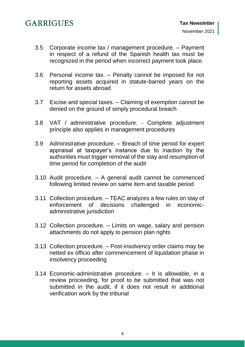- 3.5 [Corporate income tax / management procedure. –](#page-15-2) Payment [in respect of a refund of the Spanish health tax must be](#page-15-2)  [recognized in the period when incorrect payment took place.](#page-15-2)
- 3.6 Personal income tax. [Penalty cannot be imposed for not](#page-16-0)  [reporting assets acquired in statute-barred years on the](#page-16-0)  [return for assets abroad](#page-16-0)
- 3.7 Excise and special taxes. [Claiming of exemption cannot be](#page-16-1)  [denied on the ground of simply procedural breach](#page-16-1)
- 3.8 [VAT / administrative procedure. -](#page-16-2) Complete adjustment [principle also applies in management procedures](#page-16-2)
- 3.9 Administrative procedure. [Breach of time period for expert](#page-17-0)  [appraisal at taxpayer's instance due to inaction by the](#page-17-0)  [authorities must trigger removal of the stay and resumption of](#page-17-0)  [time period for completion of the audit](#page-17-0)
- 3.10 Audit procedure. [A general audit cannot be commenced](#page-17-1)  [following limited review on same item and taxable period](#page-17-1)
- 3.11 Collection procedure. [TEAC analyzes a few rules on stay of](#page-18-0)  [enforcement of decisions challenged in economic](#page-18-0)[administrative jurisdiction](#page-18-0)
- 3.12 Collection procedure. [Limits on wage, salary and pension](#page-18-1)  [attachments do not apply to pension plan rights](#page-18-1)
- 3.13 Collection procedure. [Post-insolvency order claims may be](#page-19-0)  [netted ex officio after commencement of liquidation phase in](#page-19-0)  [insolvency proceeding](#page-19-0)
- 3.14 [Economic-administrative procedure. –](#page-19-1) It is allowable, in a [review proceeding, for proof to be submitted that was not](#page-19-1)  [submitted in the audit, if it does not result in additional](#page-19-1)  [verification work by the tribunal](#page-19-1)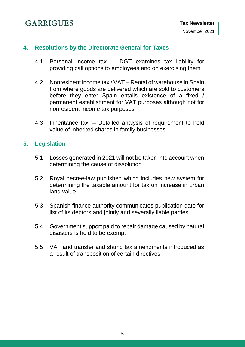## **4. Resolutions [by the Directorate General for Taxes](#page-20-0)**

- 4.1 Personal income tax. [DGT examines tax liability for](#page-20-1)  [providing call options to employees and on exercising them](#page-20-1)
- 4.2 [Nonresident income tax / VAT –](#page-20-2) Rental of warehouse in Spain [from where goods are delivered which are sold to customers](#page-20-2)  [before they enter Spain entails existence of a fixed /](#page-20-2)  [permanent establishment for VAT purposes although not for](#page-20-2)  [nonresident income tax purposes](#page-20-2)
- 4.3 Inheritance tax. [Detailed analysis of requirement to hold](#page-21-0)  [value of inherited shares in family businesses](#page-21-0)

## **5. [Legislation](#page-22-0)**

- 5.1 [Losses generated in 2021 will not be taken into account when](#page-22-1)  [determining the cause of dissolution](#page-22-1)
- 5.2 [Royal decree-law published which includes new system for](#page-22-2)  [determining the taxable amount for tax on increase in urban](#page-22-2)  [land value](#page-22-2)
- 5.3 [Spanish finance authority communicates publication date for](#page-23-0)  [list of its debtors and jointly and severally liable parties](#page-23-0)
- 5.4 [Government support paid to repair damage caused by natural](#page-23-1)  [disasters is held to be exempt](#page-23-1)
- 5.5 [VAT and transfer and stamp tax amendments introduced as](#page-23-2)  a [result of transposition of certain directives](#page-23-2)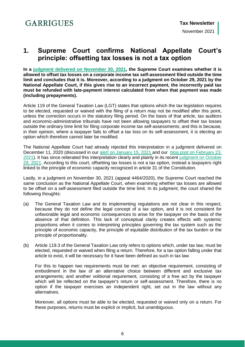## <span id="page-5-0"></span>**1. Supreme Court confirms National Appellate Court's principle: offsetting tax losses is not a tax option**

**In a [judgment delivered on November 30, 2021,](https://www.poderjudicial.es/search/AN/openDocument/6f5af6d753096e1c/20211213) the Supreme Court examines whether it is allowed to offset tax losses on a corporate income tax self-assessment filed outside the time limit and concludes that it is. Moreover, according to a judgment on October 29, 2021 by the National Appellate Court, if this gives rise to an incorrect payment, the incorrectly paid tax must be refunded with late-payment interest calculated from when that payment was made (including prepayments).**

Article 119 of the General Taxation Law (LGT) states that options which the tax legislation requires to be elected, requested or waived with the filing of a return may not be modified after this point, unless the correction occurs in the statutory filing period. On the basis of that article, tax auditors and economic-administrative tribunals have not been allowing taxpayers to offset their tax losses outside the ordinary time limit for filing corporate income tax self-assessments; and this is because, in their opinion, where a taxpayer fails to offset a tax loss on its self-assessment, it is electing an option which therefore cannot later be modified.

The National Appellate Court had already rejected this interpretation in a judgment delivered on December 11, 2020 (discussed in our [alert on January 15, 2021](https://www.garrigues.com/es_ES/noticia/audiencia-nacional-concluye-compensacion-bases-imponibles-negativas-no-es-opcion-tributaria#:~:text=La%20Audiencia%20Nacional%20concluye%20que,una%20opci%C3%B3n%20tributaria%20inmodificable%20%7C%20Garrigues) and our [blog post on February 23,](https://www.expansion.com/blogs/garrigues/2021/02/23/la-audiencia-nacional-respalda-que-la.html)  [2021\)](https://www.expansion.com/blogs/garrigues/2021/02/23/la-audiencia-nacional-respalda-que-la.html). It has since reiterated this interpretation clearly and plainly in its recent judgment on October [29, 2021.](https://www.poderjudicial.es/search/AN/openDocument/f1f383f185e9f3c2/20211117) According to this court, offsetting tax losses is not a tax option, instead a taxpayers right linked to the principle of economic capacity recognized in article 31 of the Constitution.

Lastly, in a judgment on November 30, 2021 (appeal 4464/2020), the Supreme Court reached the same conclusion as the National Appellate Court, when examining whether tax losses are allowed to be offset on a self-assessment filed outside the time limit. In its judgment, the court shared the following thoughts:

- (a) The General Taxation Law and its implementing regulations are not clear in this respect, because they do not define the legal concept of a tax option, and it is not consistent for unfavorable legal and economic consequences to arise for the taxpayer on the basis of the absence of that definition. This lack of conceptual clarity creates effects with systemic proportions when it comes to interpreting principles governing the tax system such as the principle of economic capacity, the principle of equitable distribution of the tax burden or the principle of proportionality.
- (b) Article 119.3 of the General Taxation Law only refers to options which, under tax law, must be elected, requested or waived when filing a return. Therefore, for a tax option falling under that article to exist, it will be necessary for it have been defined as such in tax law.

For this to happen two requirements must be met: an objective requirement, consisting of embodiment in the law of an alternative choice between different and exclusive tax arrangements; and another volitional requirement, consisting of a free act by the taxpayer which will be reflected on the taxpayer's return or self-assessment. Therefore, there is no option if the taxpayer exercises an independent right, set out in the law without any alternatives.

Moreover, all options must be able to be elected, requested or waived only on a return. For these purposes, returns must be explicit or implicit, but unambiguous.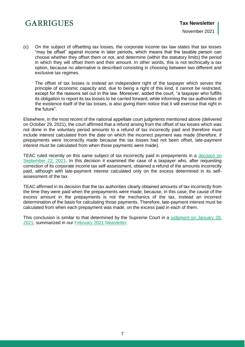(c) On the subject of offsetting tax losses, the corporate income tax law states that tax losses "may be offset" against income in later periods, which means that the taxable person can choose whether they offset them or not, and determine (within the statutory limits) the period in which they will offset them and their amount. In other words, this is not technically a tax option, because no alternative is described consisting in choosing between two different and exclusive tax regimes.

The offset of tax losses is instead an independent right of the taxpayer which serves the principle of economic capacity and, due to being a right of this kind, it cannot be restricted, except for the reasons set out in the law. Moreover, added the court, "a taxpayer who fulfills its obligation to report its tax losses to be carried forward, while informing the tax authorities of the existence itself of the tax losses, is also giving them notice that it will exercise that right in the future".

Elsewhere, in the most recent of the national appellate court judgments mentioned above (delivered on October 29, 2021), the court affirmed that a refund arising from the offset of tax losses which was not done in the voluntary period amounts to a refund of tax incorrectly paid and therefore must include interest calculated from the date on which the incorrect payment was made (therefore, if prepayments were incorrectly made because the tax losses had not been offset, late-payment interest must be calculated from when those payments were made).

TEAC ruled recently on this same subject of tax incorrectly paid in prepayments in a [decision on](https://serviciostelematicosext.hacienda.gob.es/TEAC/DYCTEA/criterio.aspx?id=00/04270/2019/00/0/1&q=s=1&rn=&ra=&fd=01/09/2021&fh=30/09/2021&u=00&n=&p=&c1=&c2=&c3=&tc=1&tr=&tp=&tf=&c=2&pg=)  [September 22, 2021.](https://serviciostelematicosext.hacienda.gob.es/TEAC/DYCTEA/criterio.aspx?id=00/04270/2019/00/0/1&q=s=1&rn=&ra=&fd=01/09/2021&fh=30/09/2021&u=00&n=&p=&c1=&c2=&c3=&tc=1&tr=&tp=&tf=&c=2&pg=) In this decision it examined the case of a taxpayer who, after requesting correction of its corporate income tax self-assessment, obtained a refund of the amounts incorrectly paid, although with late-payment interest calculated only on the excess determined in its selfassessment of the tax.

TEAC affirmed in its decision that the tax authorities clearly obtained amounts of tax incorrectly from the time they were paid when the prepayments were made; because, in this case, the cause of the excess amount in the prepayments is not the mechanics of the tax, instead an incorrect determination of the basis for calculating those payments. Therefore, late-payment interest must be calculated from when each prepayment was made, on the excess paid in each of them.

This conclusion is similar to that determined by the Supreme Court in a [judgment](https://www.poderjudicial.es/search/AN/openDocument/deb08f3aa438903a/20210223) on January 28, [2021](https://www.poderjudicial.es/search/AN/openDocument/deb08f3aa438903a/20210223)*,* summarized in our February 2021 [Newsletter](https://www.garrigues.com/sites/default/files/documents/tax_newsletter_-_february_2021.pdf#page=8)*.*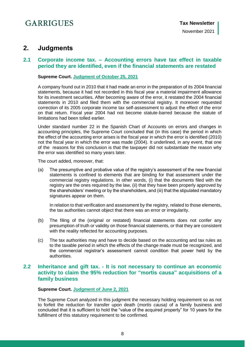## <span id="page-7-0"></span>**2. Judgments**

### <span id="page-7-1"></span>**2.1 Corporate income tax. – Accounting errors have tax effect in taxable period they are identified, even if the financial statements are restated**

#### **Supreme Court. [Judgment of October 25, 2021](https://www.poderjudicial.es/search/AN/openDocument/30ecfb1cc1698c9d/20211116)**

A company found out in 2010 that it had made an error in the preparation of its 2004 financial statements, because it had not recorded in this fiscal year a material impairment allowance for its investment securities. After becoming aware of the error, it restated the 2004 financial statements in 2010 and filed them with the commercial registry. It moreover requested correction of its 2005 corporate income tax self-assessment to adjust the effect of the error on that return. Fiscal year 2004 had not become statute-barred because the statute of limitations had been tolled earlier.

Under standard number 22 in the Spanish Chart of Accounts on errors and changes in accounting principles, the Supreme Court concluded that (in this case) the period in which the effect of the accounting error arises is the fiscal year in which the error is identified (2010) not the fiscal year in which the error was made (2004). It underlined, in any event, that one of the reasons for this conclusion is that the taxpayer did not substantiate the reason why the error was identified so many years later.

The court added, moreover, that:

(a) The presumptive and probative value of the registry's assessment of the new financial statements is confined to elements that are binding for that assessment under the commercial registry regulations. In other words, (i) that the documents filed with the registry are the ones required by the law, (ii) that they have been properly approved by the shareholders' meeting or by the shareholders, and (iii) that the stipulated mandatory signatures appear on them.

In relation to that verification and assessment by the registry, related to those elements, the tax authorities cannot object that there was an error or irregularity.

- (b) The filing of the (original or restated) financial statements does not confer any presumption of truth or validity on those financial statements, or that they are consistent with the reality reflected for accounting purposes.
- (c) The tax authorities may and have to decide based on the accounting and tax rules as to the taxable period in which the effects of the change made must be recognized, and the commercial registrar's assessment cannot condition that power held by the authorities.

## <span id="page-7-2"></span>**2.2 Inheritance and gift tax. - It is not necessary to continue an economic activity to claim the 95% reduction for "mortis causa" acquisitions of a family business**

#### **Supreme Court. [Judgment of June 2, 2021](https://www.poderjudicial.es/search/AN/openDocument/46cd0847047cd940/20211122)**

The Supreme Court analyzed in this judgment the necessary holding requirement so as not to forfeit the reduction for transfer upon death (*mortis causa)* of a family business and concluded that it is sufficient to hold the "value of the acquired property" for 10 years for the fulfillment of this statutory requirement to be confirmed.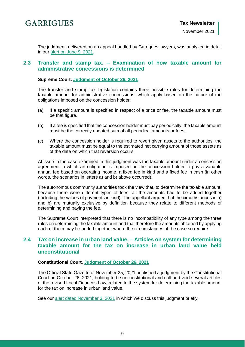

The judgment, delivered on an appeal handled by Garrigues lawyers, was analyzed in detail in our [alert on June 9, 2021.](https://www.garrigues.com/es_ES/noticia/ts-confirma-no-es-necesario-mantener-actividad-economica-aplicar-reduccion-95-adquisiciones)

## <span id="page-8-0"></span>**2.3 Transfer and stamp tax. – Examination of how taxable amount for administrative concessions is determined**

**Supreme Court. [Judgment of October 26, 2021](https://www.poderjudicial.es/search/AN/openDocument/2b3b8092900461d9/20211112)**

The transfer and stamp tax legislation contains three possible rules for determining the taxable amount for administrative concessions, which apply based on the nature of the obligations imposed on the concession holder:

- (a) If a specific amount is specified in respect of a price or fee, the taxable amount must be that figure.
- (b) If a fee is specified that the concession holder must pay periodically, the taxable amount must be the correctly updated sum of all periodical amounts or fees.
- (c) Where the concession holder is required to revert given assets to the authorities, the taxable amount must be equal to the estimated net carrying amount of those assets as of the date on which that reversion occurs.

At issue in the case examined in this judgment was the taxable amount under a concession agreement in which an obligation is imposed on the concession holder to pay a variable annual fee based on operating income, a fixed fee in kind and a fixed fee in cash (in other words, the scenarios in letters a) and b) above occurred).

The autonomous community authorities took the view that, to determine the taxable amount, because there were different types of fees, all the amounts had to be added together (including the values of payments in kind). The appellant argued that the circumstances in a) and b) are mutually exclusive by definition because they relate to different methods of determining and paying the fee.

The Supreme Court interpreted that there is no incompatibility of any type among the three rules on determining the taxable amount and that therefore the amounts obtained by applying each of them may be added together where the circumstances of the case so require.

## <span id="page-8-1"></span>**2.4 Tax on increase in urban land value. – Articles on system for determining taxable amount for the tax on increase in urban land value held unconstitutional**

#### **Constitutional Court. [Judgment of October 26, 2021](https://www.boe.es/boe/dias/2021/11/25/pdfs/BOE-A-2021-19511.pdf)**

The Official State Gazette of November 25, 2021 published a judgment by the Constitutional Court on October 26, 2021, holding to be unconstitutional and null and void several articles of the revised Local Finances Law, related to the system for determining the taxable amount for the tax on increase in urban land value.

See our [alert dated November 3, 2021](https://www.garrigues.com/es_ES/noticia/publica-contenido-sentencia-tribunal-constitucional-anula-plusvalia-municipal) in which we discuss this judgment briefly.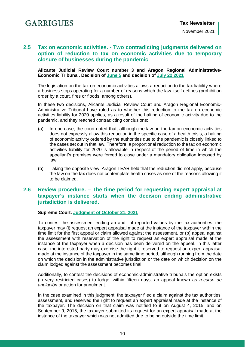## <span id="page-9-0"></span>**2.5 Tax on economic activities. - Two contradicting judgments delivered on option of reduction to tax on economic activities due to temporary closure of businesses during the pandemic**

**Alicante Judicial Review Court number 3 and Aragon Regional Administrative-Economic Tribunal. Decision of [June 5](https://www.poderjudicial.es/search/AN/openDocument/fb0f28504b3c6064/20211102) and decision of [July 22 2021](https://serviciostelematicosext.hacienda.gob.es/TEAC/DYCTEA/criterio.aspx?id=50/02083/2020/00/0/1&q=s=1&rn=02083&ra=2020&fd=&fh=&u=&n=&p=&c1=&c2=&c3=&tc=1&tr=&tp=&tf=&c=2&pg=)**

The legislation on the tax on economic activities allows a reduction to the tax liability where a business stops operating for a number of reasons which the law itself defines (prohibition order by a court, fires or floods, among others).

In these two decisions, Alicante Judicial Review Court and Aragon Regional Economic-Administrative Tribunal have ruled as to whether this reduction to the tax on economic activities liability for 2020 applies, as a result of the halting of economic activity due to the pandemic, and they reached contradicting conclusions:

- (a) In one case, the court noted that, although the law on the tax on economic activities does not expressly allow this reduction in the specific case of a health crisis, a halting of economic activity ordered by the authorities due to the pandemic is closely linked to the cases set out in that law. Therefore, a proportional reduction to the tax on economic activities liability for 2020 is allowable in respect of the period of time in which the appellant's premises were forced to close under a mandatory obligation imposed by law.
- (b) Taking the opposite view, Aragon TEAR held that the reduction did not apply, because the law on the tax does not contemplate health crises as one of the reasons allowing it to be claimed.

## <span id="page-9-1"></span>**2.6 Review procedure. – The time period for requesting expert appraisal at taxpayer's instance starts when the decision ending administrative jurisdiction is delivered.**

#### **Supreme Court. [Judgment of October 21, 2021](https://www.poderjudicial.es/search/AN/openDocument/fc19ac3ffddca75f/20211102)**

To contest the assessment ending an audit of reported values by the tax authorities, the taxpayer may (i) request an expert appraisal made at the instance of the taxpayer within the time limit for the first appeal or claim allowed against the assessment, or (b) appeal against the assessment with reservation of the right to request an expert appraisal made at the instance of the taxpayer when a decision has been delivered on the appeal. In this latter case, the interested party may exercise the right it reserved to request an expert appraisal made at the instance of the taxpayer in the same time period, although running from the date on which the decision in the administrative jurisdiction or the date on which decision on the claim lodged against the assessment becomes final.

Additionally, to contest the decisions of economic-administrative tribunals the option exists (in very restricted cases) to lodge, within fifteen days, an appeal known as *recurso de anulación* or action for annulment.

In the case examined in this judgment, the taxpayer filed a claim against the tax authorities' assessment, and reserved the right to request an expert appraisal made at the instance of the taxpayer. The decision on that claim was notified to it on August 4, 2015, and on September 9, 2015, the taxpayer submitted its request for an expert appraisal made at the instance of the taxpayer which was not admitted due to being outside the time limit.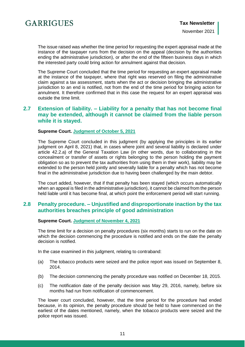

The issue raised was whether the time period for requesting the expert appraisal made at the instance of the taxpayer runs from the decision on the appeal (decision by the authorities ending the administrative jurisdiction), or after the end of the fifteen business days in which the interested party could bring action for annulment against that decision.

The Supreme Court concluded that the time period for requesting an expert appraisal made at the instance of the taxpayer, where that right was reserved on filing the administrative claim against a tax assessment, starts when the act or decision bringing the administrative jurisdiction to an end is notified, not from the end of the time period for bringing action for annulment. It therefore confirmed that in this case the request for an expert appraisal was outside the time limit.

## <span id="page-10-0"></span>**2.7 Extension of liability. – Liability for a penalty that has not become final may be extended, although it cannot be claimed from the liable person while it is stayed.**

#### **Supreme Court. [Judgment of October 5, 2021](https://www.poderjudicial.es/search/AN/openDocument/14bc6d8a7b45d025/20211102)**

The Supreme Court concluded in this judgment (by applying the principles in its earlier judgment on April 8, 2021) that, in cases where joint and several liability is declared under article 42.2.a) of the General Taxation Law (in other words, due to collaborating in the concealment or transfer of assets or rights belonging to the person holding the payment obligation so as to prevent the tax authorities from using them in their work), liability may be extended to the person held jointly and severally liable for a penalty which has not become final in the administrative jurisdiction due to having been challenged by the main debtor.

The court added, however, that if that penalty has been stayed (which occurs automatically when an appeal is filed in the administrative jurisdiction), it cannot be claimed from the person held liable until it has become final, at which point the enforcement period will start running.

## <span id="page-10-1"></span>**2.8 Penalty procedure. – Unjustified and disproportionate inaction by the tax authorities breaches principle of good administration**

#### **Supreme Court. [Judgment of November 4, 2021](https://www.poderjudicial.es/search/AN/openDocument/076122cd5a09c243/20211122)**

The time limit for a decision on penalty procedures (six months) starts to run on the date on which the decision commencing the procedure is notified and ends on the date the penalty decision is notified.

In the case examined in this judgment, relating to contraband:

- (a) The tobacco products were seized and the police report was issued on September 8, 2014.
- (b) The decision commencing the penalty procedure was notified on December 18, 2015.
- (c) The notification date of the penalty decision was May 29, 2016, namely, before six months had run from notification of commencement.

The lower court concluded, however, that the time period for the procedure had ended because, in its opinion, the penalty procedure should be held to have commenced on the earliest of the dates mentioned, namely, when the tobacco products were seized and the police report was issued.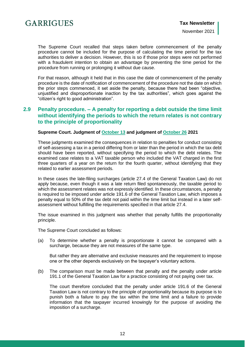

The Supreme Court recalled that steps taken before commencement of the penalty procedure cannot be included for the purpose of calculating the time period for the tax authorities to deliver a decision. However, this is so if those prior steps were not performed with a fraudulent intention to obtain an advantage by preventing the time period for the procedure from running or prolonging it without due cause.

For that reason, although it held that in this case the date of commencement of the penalty procedure is the date of notification of commencement of the procedure not the date on which the prior steps commenced, it set aside the penalty, because there had been "objective, unjustified and disproportionate inaction by the tax authorities", which goes against the "citizen's right to good administration".

## <span id="page-11-0"></span>**2.9 Penalty procedure. – A penalty for reporting a debt outside the time limit without identifying the periods to which the return relates is not contrary to the principle of proportionality**

#### **Supreme Court. Judgment of [October 13](https://www.poderjudicial.es/search/AN/openDocument/18863f60315f7e01/20211102) and judgment of [October 26](https://www.poderjudicial.es/search/AN/openDocument/995cd93eb921808c/20211116) 2021**

These judgments examined the consequences in relation to penalties for conduct consisting of self-assessing a tax in a period differing from or later than the period in which the tax debt should have been reported, without specifying the period to which the debt relates. The examined case relates to a VAT taxable person who included the VAT charged in the first three quarters of a year on the return for the fourth quarter, without identifying that they related to earlier assessment periods.

In these cases the late-filing surcharges (article 27.4 of the General Taxation Law) do not apply because, even though it was a late return filed spontaneously, the taxable period to which the assessment relates was not expressly identified. In these circumstances, a penalty is required to be imposed under article 191.6 of the General Taxation Law, which imposes a penalty equal to 50% of the tax debt not paid within the time limit but instead in a later selfassessment without fulfilling the requirements specified in that article 27.4.

The issue examined in this judgment was whether that penalty fulfills the proportionality principle.

The Supreme Court concluded as follows:

(a) To determine whether a penalty is proportionate it cannot be compared with a surcharge, because they are not measures of the same type.

But rather they are alternative and exclusive measures and the requirement to impose one or the other depends exclusively on the taxpayer's voluntary actions.

(b) The comparison must be made between that penalty and the penalty under article 191.1 of the General Taxation Law for a practice consisting of not paying over tax.

The court therefore concluded that the penalty under article 191.6 of the General Taxation Law is not contrary to the principle of proportionality because its purpose is to punish both a failure to pay the tax within the time limit and a failure to provide information that the taxpayer incurred knowingly for the purpose of avoiding the imposition of a surcharge.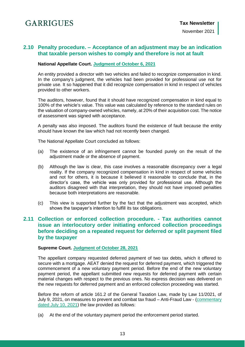## <span id="page-12-0"></span>**2.10 Penalty procedure. – Acceptance of an adjustment may be an indication that taxable person wishes to comply and therefore is not at fault**

#### **National Appellate Court. [Judgment of October 6, 2021](https://www.poderjudicial.es/search/AN/openDocument/b271ea7e43549b24/20211103)**

An entity provided a director with two vehicles and failed to recognize compensation in kind. In the company's judgment, the vehicles had been provided for professional use not for private use. It so happened that it did recognize compensation in kind in respect of vehicles provided to other workers.

The auditors, however, found that it should have recognized compensation in kind equal to 100% of the vehicle's value. This value was calculated by reference to the standard rules on the valuation of company-owned vehicles, namely, at 20% of their acquisition cost. The notice of assessment was signed with acceptance.

A penalty was also imposed. The auditors found the existence of fault because the entity should have known the law which had not recently been changed.

The National Appellate Court concluded as follows:

- (a) The existence of an infringement cannot be founded purely on the result of the adjustment made or the absence of payment.
- (b) Although the law is clear, this case involves a reasonable discrepancy over a legal reality. If the company recognized compensation in kind in respect of some vehicles and not for others, it is because it believed it reasonable to conclude that, in the director's case, the vehicle was only provided for professional use. Although the auditors disagreed with that interpretation, they should not have imposed penalties because both interpretations are reasonable.
- (c) This view is supported further by the fact that the adjustment was accepted, which shows the taxpayer's intention to fulfill its tax obligations.

## <span id="page-12-1"></span>**2.11 Collection or enforced collection procedure. - Tax authorities cannot issue an interlocutory order initiating enforced collection proceedings before deciding on a repeated request for deferred or split payment filed by the taxpayer**

#### **Supreme Court. [Judgment of October 28, 2021](https://www.poderjudicial.es/search/AN/openDocument/9eac932d6182b1d4/20211112)**

The appellant company requested deferred payment of two tax debts, which it offered to secure with a mortgage. AEAT denied the request for deferred payment, which triggered the commencement of a new voluntary payment period. Before the end of the new voluntary payment period, the appellant submitted new requests for deferred payment with certain material changes with respect to the previous ones. No express decision was delivered on the new requests for deferred payment and an enforced collection proceeding was started.

Before the reform of article 161.2 of the General Taxation Law, made by Law 11/2021, of July 9, 2021, on measures to prevent and combat tax fraud – Anti-Fraud Law - [\(commentary](https://www.garrigues.com/en_GB/new/spain-new-anti-fraud-law-published)  [dated July 10, 2021\)](https://www.garrigues.com/en_GB/new/spain-new-anti-fraud-law-published) the law provided as follows:

(a) At the end of the voluntary payment period the enforcement period started.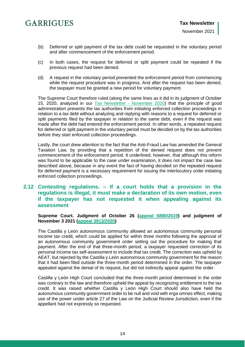- (b) Deferred or split payment of the tax debt could be requested in the voluntary period and after commencement of the enforcement period.
- (c) In both cases, the request for deferred or split payment could be repeated if the previous request had been denied.
- (d) A request in the voluntary period prevented the enforcement period from commencing while the request procedure was in progress. And after the request has been denied, the taxpayer must be granted a new period for voluntary payment.

The Supreme Court therefore ruled (along the same lines as it did in its judgment of October 15, 2020, analyzed in our [Tax Newsletter -](https://www.garrigues.com/en_GB/new/tax-newsletter-november-2020) November 2020) that the principle of good administration prevents the tax authorities from initiating enforced collection proceedings in relation to a tax debt without analyzing and replying with reasons to a request for deferred or split payments filed by the taxpayer in relation to the same debt, even if the request was made after the debt had entered the enforcement period. In other words, a repeated request for deferred or split payment in the voluntary period must be decided on by the tax authorities before they start enforced collection proceedings.

Lastly, the court drew attention to the fact that the Anti-Fraud Law has amended the General Taxation Law, by providing that a repetition of the denied request does not prevent commencement of the enforcement period. It underlined, however, that although this reform was found to be applicable to the case under examination, it does not impact the case law described above, because in any event the fact of having decided on the repeated request for deferred payment is a necessary requirement for issuing the interlocutory order initiating enforced collection proceedings.

## <span id="page-13-0"></span>**2.12 Contesting regulations. – If a court holds that a provision in the regulations is illegal, it must make a declaration of its own motion, even if the taxpayer has not requested it when appealing against its assessment**

#### **Supreme Court. Judgment of October 26 [\(appeal 6880/2019\)](https://www.poderjudicial.es/search/AN/openDocument/70ecbd6449f86925/20211116) and judgment of November 3 2021 [\(appeal 3913/2020\)](https://www.poderjudicial.es/search/AN/openDocument/b5dbfa7bba96d965/20211122)**

The Castilla y León autonomous community allowed an autonomous community personal income tax credit, which could be applied for within three months following the approval of an autonomous community government order setting out the procedure for making that payment. After the end of that three-month period, a taxpayer requested correction of its personal income tax self-assessment to include that tax credit. The correction was upheld by AEAT, but rejected by the Castilla y León autonomous community government for the reason that it had been filed outside the three-month period determined in the order. The taxpayer appealed against the denial of its request, but did not indirectly appeal against the order.

Castilla y León High Court concluded that the three-month period determined in the order was contrary to the law and therefore upheld the appeal by recognizing entitlement to the tax credit. It was raised whether Castilla y León High Court should also have held the autonomous community government order to be null and void with *erga omnes* effect, making use of the power under article 27 of the Law on the Judicial Review Jurisdiction, even if the appellant had not expressly so requested.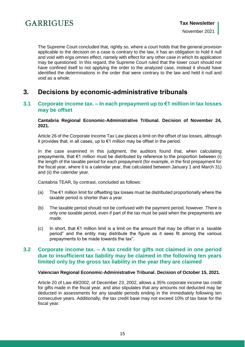

The Supreme Court concluded that, rightly so, where a court holds that the general provision applicable to the decision on a case is contrary to the law, it has an obligation to hold it null and void with *erga omnes* effect, namely with effect for any other case in which its application may be questioned. In this regard, the Supreme Court ruled that the lower court should not have confined itself to not applying the order to the analyzed case, instead it should have identified the determinations in the order that were contrary to the law and held it null and void as a whole.

## <span id="page-14-0"></span>**3. Decisions by economic-administrative tribunals**

### <span id="page-14-1"></span>**3.1 Corporate income tax. – In each prepayment up to €1 million in tax losses may be offset**

#### **Cantabria Regional Economic-Administrative Tribunal. Decision of November 24, 2021.**

Article 26 of the Corporate Income Tax Law places a limit on the offset of tax losses, although it provides that, in all cases, up to €1 million may be offset in the period.

In the case examined in this judgment, the auditors found that, when calculating prepayments, that  $\epsilon$ 1 million must be distributed by reference to the proportion between (i) the length of the taxable period for each prepayment (for example, in the first prepayment for the fiscal year, where it is a calendar year, that calculated between January 1 and March 31) and (ii) the calendar year.

Cantabria TEAR, by contrast, concluded as follows:

- (a) The  $\epsilon$ 1 million limit for offsetting tax losses must be distributed proportionally where the taxable period is shorter than a year.
- (b) The taxable period should not be confused with the payment period, however. There is only one taxable period, even if part of the tax must be paid when the prepayments are made.
- (c) In short, that  $\epsilon$ 1 million limit is a limit on the amount that may be offset in a taxable period" and the entity may distribute the figure as it sees fit among the various prepayments to be made towards the tax".

## <span id="page-14-2"></span>**3.2 Corporate income tax. – A tax credit for gifts not claimed in one period due to insufficient tax liability may be claimed in the following ten years limited only by the gross tax liability in the year they are claimed**

#### **Valencian Regional Economic-Administrative Tribunal. Decision of October 15, 2021.**

Article 20 of Law 49/2002, of December 23, 2002, allows a 35% corporate income tax credit for gifts made in the fiscal year, and also stipulates that any amounts not deducted may be deducted in assessments for any taxable periods ending in the immediately following ten consecutive years. Additionally, the tax credit base may not exceed 10% of tax base for the fiscal year.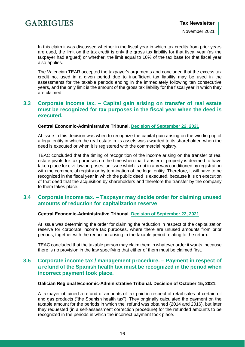In this claim it was discussed whether in the fiscal year in which tax credits from prior years are used, the limit on the tax credit is only the gross tax liability for that fiscal year (as the taxpayer had argued) or whether, the limit equal to 10% of the tax base for that fiscal year also applies.

The Valencian TEAR accepted the taxpayer's arguments and concluded that the excess tax credit not used in a given period due to insufficient tax liability may be used in the assessments for the taxable periods ending in the immediately following ten consecutive years, and the only limit is the amount of the gross tax liability for the fiscal year in which they are claimed.

## <span id="page-15-0"></span>**3.3 Corporate income tax. – Capital gain arising on transfer of real estate must be recognized for tax purposes in the fiscal year when the deed is executed.**

#### **Central Economic-Administrative Tribunal. [Decision of September 22, 2021](https://serviciostelematicosext.hacienda.gob.es/TEAC/DYCTEA/criterio.aspx?id=00/01186/2020/00/0/1&q=s=1&rn=&ra=&fd=01/09/2021&fh=30/09/2021&u=00&n=&p=&c1=&c2=&c3=&tc=1&tr=&tp=&tf=&c=2&pg=)**

At issue in this decision was when to recognize the capital gain arising on the winding up of a legal entity in which the real estate in its assets was awarded to its shareholder: when the deed is executed or when it is registered with the commercial registry.

TEAC concluded that the timing of recognition of the income arising on the transfer of real estate pivots for tax purposes on the time when that transfer of property is deemed to have taken place for civil law purposes; an issue which is not in any way conditioned by registration with the commercial registry or by termination of the legal entity. Therefore, it will have to be recognized in the fiscal year in which the public deed is executed, because it is on execution of that deed that the acquisition by shareholders and therefore the transfer by the company to them takes place.

## <span id="page-15-1"></span>**3.4 Corporate income tax. – Taxpayer may decide order for claiming unused amounts of reduction for capitalization reserve**

#### **Central Economic-Administrative Tribunal. [Decision of September 22, 2021](https://serviciostelematicosext.hacienda.gob.es/TEAC/DYCTEA/criterio.aspx?id=00/02984/2021/00/0/1&q=s=1&rn=&ra=&fd=01/09/2021&fh=30/09/2021&u=00&n=&p=&c1=&c2=&c3=&tc=1&tr=&tp=&tf=&c=2&pg=)**

At issue was determining the order for claiming the reduction in respect of the capitalization reserve for corporate income tax purposes, where there are unused amounts from prior periods, together with the reduction arising in the taxable period relating to the return.

TEAC concluded that the taxable person may claim them in whatever order it wants, because there is no provision in the law specifying that either of them must be claimed first.

## <span id="page-15-2"></span>**3.5 Corporate income tax / management procedure. – Payment in respect of a refund of the Spanish health tax must be recognized in the period when incorrect payment took place.**

#### **Galician Regional Economic-Administrative Tribunal. Decision of October 15, 2021.**

A taxpayer obtained a refund of amounts of tax paid in respect of retail sales of certain oil and gas products ("the Spanish health tax"). They originally calculated the payment on the taxable amount for the periods in which the refund was obtained (2014 and 2016), but later they requested (in a self-assessment correction procedure) for the refunded amounts to be recognized in the periods in which the incorrect payment took place.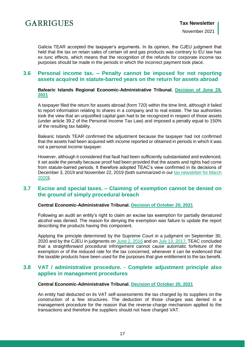

Galicia TEAR accepted the taxpayer's arguments. In its opinion, the CJEU judgment that held that the tax on retain sales of certain oil and gas products was contrary to EU law has *ex tunc* effects, which means that the recognition of the refunds for corporate income tax purposes should be made in the periods in which the incorrect payment took place.

## <span id="page-16-0"></span>**3.6 Personal income tax. – Penalty cannot be imposed for not reporting assets acquired in statute-barred years on the return for assets abroad**

#### **Balearic Islands Regional Economic-Administrative Tribunal. [Decision of June 29,](https://serviciostelematicosext.hacienda.gob.es/TEAC/DYCTEA/criterio.aspx?id=07/00450/2018/00/0/1&q=s=1&rn=&ra=&fd=29/06/2021&fh=29/06/2021&u=17&n=&p=&c1=&c2=&c3=&tc=1&tr=&tp=&tf=&c=2&pg=)  [2021](https://serviciostelematicosext.hacienda.gob.es/TEAC/DYCTEA/criterio.aspx?id=07/00450/2018/00/0/1&q=s=1&rn=&ra=&fd=29/06/2021&fh=29/06/2021&u=17&n=&p=&c1=&c2=&c3=&tc=1&tr=&tp=&tf=&c=2&pg=)**

A taxpayer filed the return for assets abroad (form 720) within the time limit, although it failed to report information relating to shares in a company and to real estate. The tax authorities took the view that an unjustified capital gain had to be recognized in respect of those assets (under article 39.2 of the Personal Income Tax Law) and imposed a penalty equal to 150% of the resulting tax liability.

Balearic Islands TEAR confirmed the adjustment because the taxpayer had not confirmed that the assets had been acquired with income reported or obtained in periods in which it was not a personal income taxpayer.

However, although it considered that fault had been sufficiently substantiated and evidenced, it set aside the penalty because proof had been provided that the assets and rights had come from statute-barred periods. It therefore adopted TEAC's view confirmed in its decisions of December 3, 2019 and November 22, 2019 (both summarized in our [tax newsletter for March](https://www.garrigues.com/en_GB/new/tax-newsletter-march-2020-decisions)  [2020\)](https://www.garrigues.com/en_GB/new/tax-newsletter-march-2020-decisions).

## <span id="page-16-1"></span>**3.7 Excise and special taxes. – Claiming of exemption cannot be denied on the ground of simply procedural breach**

#### **Central Economic-Administrative Tribunal. [Decision of October 20, 2021](https://serviciostelematicosext.hacienda.gob.es/TEAC/DYCTEA/criterio.aspx?id=00/05971/2018/00/0/1&q=s=1&rn=&ra=&fd=01/01/2020&fh=08/11/2021&u=00&n=&p=&c1=&c2=&c3=&tc=1&tr=&tp=&tf=&c=2&pg=)**

Following an audit an entity's right to claim an excise tax exemption for partially denatured alcohol was denied. The reason for denying the exemption was failure to update the report describing the products having this component.

Applying the principle determined by the Supreme Court in a judgment on September 30, 2020 and by the CJEU in judgments on [June 2, 2016](https://curia.europa.eu/juris/document/document.jsf?text=&docid=179471&pageIndex=0&doclang=EN&mode=lst&dir=&occ=first&part=1&cid=547901) and on [July 13, 2017,](https://curia.europa.eu/juris/document/document.jsf?text=&docid=192700&pageIndex=0&doclang=EN&mode=lst&dir=&occ=first&part=1&cid=548222) TEAC concluded that a straightforward procedural infringement cannot cause automatic forfeiture of the exemption or of the reduced rate for the tax concerned, whenever it can be evidenced that the taxable products have been used for the purposes that give entitlement to the tax benefit.

## <span id="page-16-2"></span>**3.8 VAT / administrative procedure. - Complete adjustment principle also applies in management procedures**

#### **Central Economic-Administrative Tribunal. [Decision of October 20, 2021](https://serviciostelematicosext.hacienda.gob.es/TEAC/DYCTEA/criterio.aspx?id=00/04977/2018/00/0/1&q=s=1&rn=&ra=&fd=01/01/2020&fh=02/11/2021&u=00&n=&p=&c1=&c2=&c3=&tc=1&tr=&tp=&tf=&c=2&pg=)**

An entity had deducted on its VAT self-assessments the tax charged by its suppliers on the construction of a few structures. The deduction of those charges was denied in a management procedure for the reason that the reverse-charge mechanism applied to the transactions and therefore the suppliers should not have charged VAT.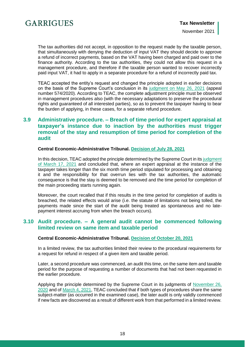The tax authorities did not accept, in opposition to the request made by the taxable person, that simultaneously with denying the deduction of input VAT they should decide to approve a refund of incorrect payments, based on the VAT having been charged and paid over to the finance authority. According to the tax authorities, they could not allow this request in a management procedure, and therefore if the taxable person wanted to recover incorrectly paid input VAT, it had to apply in a separate procedure for a refund of incorrectly paid tax.

TEAC accepted the entity's request and changed the principle adopted in earlier decisions on the basis of the Supreme Court's conclusion in its [judgment on May 26, 2021](https://www.poderjudicial.es/search/AN/openDocument/26da6ec7e8f02d83/20210614) (appeal number 574/2020). According to TEAC, the complete adjustment principle must be observed in management procedures also (with the necessary adaptations to preserve the procedural rights and guaranteed of all interested parties), so as to prevent the taxpayer having to bear the burden of applying, in these cases, for a separate refund procedure.

## <span id="page-17-0"></span>**3.9 Administrative procedure. – Breach of time period for expert appraisal at taxpayer's instance due to inaction by the authorities must trigger removal of the stay and resumption of time period for completion of the audit**

#### **Central Economic-Administrative Tribunal. [Decision of July 28, 2021](https://serviciostelematicosext.hacienda.gob.es/TEAC/DYCTEA/criterio.aspx?id=00/04675/2019/00/0/1&q=s=1&rn=&ra=&fd=01/07/2021&fh=31/07/2021&u=00&n=&p=&c1=&c2=&c3=&tc=1&tr=&tp=&tf=&c=2&pg=1)**

In this decision, TEAC adopted the principle determined by the Supreme Court in its judgment [of March 17, 2021](https://www.poderjudicial.es/search/AN/openDocument/61005987621b2578/20210408) and concluded that, where an expert appraisal at the instance of the taxpayer takes longer than the six month time period stipulated for processing and obtaining it and the responsibility for that overrun lies with the tax authorities, the automatic consequence is that the stay is deemed to be removed and the time period for completion of the main proceeding starts running again.

Moreover, the court recalled that if this results in the time period for completion of audits is breached, the related effects would arise (i.e. the statute of limitations not being tolled, the payments made since the start of the audit being treated as spontaneous and no latepayment interest accruing from when the breach occurs).

## <span id="page-17-1"></span>**3.10 Audit procedure. – A general audit cannot be commenced following limited review on same item and taxable period**

#### **Central Economic-Administrative Tribunal. [Decision of October 20, 2021](https://serviciostelematicosext.hacienda.gob.es/TEAC/DYCTEA/criterio.aspx?id=00/05195/2018/00/0/1&q=s=1&rn=&ra=&fd=01/01/2020&fh=08/11/2021&u=00&n=&p=&c1=&c2=&c3=&tc=1&tr=&tp=&tf=&c=2&pg=)**

In a limited review, the tax authorities limited their review to the procedural requirements for a request for refund in respect of a given item and taxable period.

Later, a second procedure was commenced, an audit this time, on the same item and taxable period for the purpose of requesting a number of documents that had not been requested in the earlier procedure.

Applying the principle determined by the Supreme Court in its judgments of [November 26,](https://www.poderjudicial.es/search/AN/openDocument/441ca9fe08e5d96e/20201218)  [2020](https://www.poderjudicial.es/search/AN/openDocument/441ca9fe08e5d96e/20201218) and of [March 4, 2021,](https://www.poderjudicial.es/search/AN/openDocument/9895cb10cf224d78/20210322) TEAC concluded that if both types of procedures share the same subject-matter (as occurred in the examined case), the later audit is only validly commenced if new facts are discovered as a result of different work from that performed in a limited review.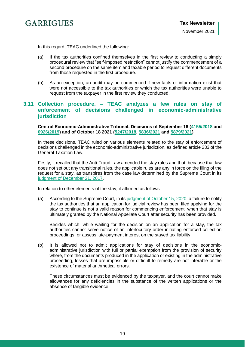

In this regard, TEAC underlined the following:

- (a) If the tax authorities confined themselves in the first review to conducting a simply procedural review that "self-imposed restriction" cannot justify the commencement of a second procedure on the same item and taxable period to request different documents from those requested in the first procedure.
- (b) As an exception, an audit may be commenced if new facts or information exist that were not accessible to the tax authorities or which the tax authorities were unable to request from the taxpayer in the first review they conducted.

## <span id="page-18-0"></span>**3.11 Collection procedure. – TEAC analyzes a few rules on stay of enforcement of decisions challenged in economic-administrative jurisdiction**

**Central Economic-Administrative Tribunal. Decisions of September 16 [\(4155/2018](https://serviciostelematicosext.hacienda.gob.es/TEAC/DYCTEA/criterio.aspx?id=00/04155/2018/01/0/1&q=s=1&rn=&ra=&fd=01/09/2021&fh=30/09/2021&u=00&n=&p=&c1=&c2=&c3=&tc=1&tr=&tp=&tf=&c=2&pg=2) and [0926/2019\)](https://serviciostelematicosext.hacienda.gob.es/TEAC/DYCTEA/criterio.aspx?id=00/00926/2019/00/0/1&q=s=1&rn=&ra=&fd=01/09/2021&fh=30/09/2021&u=00&n=&p=&c1=&c2=&c3=&tc=1&tr=&tp=&tf=&c=2&pg=2) and of October 18 2021 [\(5247/2018,](https://serviciostelematicosext.hacienda.gob.es/TEAC/DYCTEA/criterio.aspx?id=00/05247/2018/00/0/1&q=s=1&rn=&ra=&fd=01/10/2021&fh=10/11/2021&u=00&n=&p=&c1=&c2=&c3=&tc=1&tr=&tp=&tf=&c=2&pg=2) [5836/2021](https://serviciostelematicosext.hacienda.gob.es/TEAC/DYCTEA/criterio.aspx?id=00/05836/2021/01/0/1&q=s=1&rn=&ra=&fd=01/01/2020&fh=08/11/2021&u=00&n=&p=&c1=&c2=&c3=&tc=1&tr=&tp=&tf=&c=2&pg=2) and [5879/2021\)](https://serviciostelematicosext.hacienda.gob.es/TEAC/DYCTEA/criterio.aspx?id=00/05879/2021/01/0/1&q=s=1&rn=&ra=&fd=01/01/2020&fh=08/11/2021&u=00&n=&p=&c1=&c2=&c3=&tc=1&tr=&tp=&tf=&c=2&pg=2)**

In these decisions, TEAC ruled on various elements related to the stay of enforcement of decisions challenged in the economic-administrative jurisdiction, as defined article 233 of the General Taxation Law.

Firstly, it recalled that the Anti-Fraud Law amended the stay rules and that, because that law does not set out any transitional rules, the applicable rules are any in force on the filing of the request for a stay, as transpires from the case law determined by the Supreme Court in its [judgment of December 21, 2017.](https://www.poderjudicial.es/search/AN/openDocument/aad10632512c117e/20171227)

In relation to other elements of the stay, it affirmed as follows:

(a) According to the Supreme Court, in its [judgment of October 15, 2020,](https://www.poderjudicial.es/search/AN/openDocument/7da32719d0b170ce/20201027) a failure to notify the tax authorities that an application for judicial review has been filed applying for the stay to continue is not a valid reason for commencing enforcement, when that stay is ultimately granted by the National Appellate Court after security has been provided.

Besides which, while waiting for the decision on an application for a stay, the tax authorities cannot serve notice of an interlocutory order initiating enforced collection proceedings, or assess late-payment interest on the stayed tax liability.

(b) It is allowed not to admit applications for stay of decisions in the economicadministrative jurisdiction with full or partial exemption from the provision of security where, from the documents produced in the application or existing in the administrative proceeding, losses that are impossible or difficult to remedy are not inferable or the existence of material arithmetical errors.

<span id="page-18-1"></span>These circumstances must be evidenced by the taxpayer, and the court cannot make allowances for any deficiencies in the substance of the written applications or the absence of tangible evidence.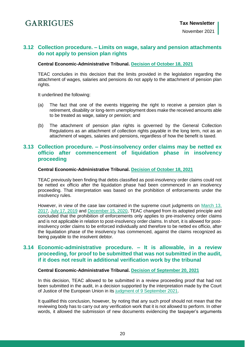## **3.12 Collection procedure. – Limits on wage, salary and pension attachments do not apply to pension plan rights**

#### **Central Economic-Administrative Tribunal. [Decision of October 18, 2021](https://serviciostelematicosext.hacienda.gob.es/TEAC/DYCTEA/criterio.aspx?id=00/00422/2019/00/0/1&q=s=1&rn=&ra=&fd=01/10/2021&fh=10/11/2021&u=00&n=&p=&c1=&c2=&c3=&tc=1&tr=&tp=&tf=&c=2&pg=2)**

TEAC concludes in this decision that the limits provided in the legislation regarding the attachment of wages, salaries and pensions do not apply to the attachment of pension plan rights.

It underlined the following:

- (a) The fact that one of the events triggering the right to receive a pension plan is retirement, disability or long-term unemployment does make the received amounts able to be treated as wage, salary or pension; and
- (b) The attachment of pension plan rights is governed by the General Collection Regulations as an attachment of collection rights payable in the long term, not as an attachment of wages, salaries and pensions, regardless of how the benefit is taxed.

## <span id="page-19-0"></span>**3.13 Collection procedure. – Post-insolvency order claims may be netted ex officio after commencement of liquidation phase in insolvency proceeding**

#### **Central Economic-Administrative Tribunal. [Decision of October 18, 2021](https://serviciostelematicosext.hacienda.gob.es/TEAC/DYCTEA/criterio.aspx?id=00/01877/2021/00/0/1&q=s=1&rn=&ra=&fd=01/01/2020&fh=21/10/2021&u=00&n=&p=&c1=&c2=&c3=&tc=1&tr=&tp=&tf=&c=2&pg=)**

TEAC previously been finding that debts classified as post-insolvency order claims could not be netted ex officio after the liquidation phase had been commenced in an insolvency proceeding. That interpretation was based on the prohibition of enforcements under the insolvency rules.

However, in view of the case law contained in the supreme court judgments on [March 13,](https://www.poderjudicial.es/search/AN/openDocument/22712dd867965084/20170320) [2017,](https://www.poderjudicial.es/search/AN/openDocument/22712dd867965084/20170320) [July 17, 2019](https://www.poderjudicial.es/search/AN/openDocument/3101f03a8cee31d6/20190726) and [December 15, 2020,](https://www.poderjudicial.es/search/AN/openDocument/1d897fc29df95428/20201229) TEAC changed from its adopted principle and concluded that the prohibition of enforcements only applies to pre-insolvency order claims and is not applicable in relation to post-insolvency order claims. In short, it is allowed for postinsolvency order claims to be enforced individually and therefore to be netted ex officio, after the liquidation phase of the insolvency has commenced, against the claims recognized as being payable to the insolvent debtor.

## <span id="page-19-1"></span>**3.14 Economic-administrative procedure. – It is allowable, in a review proceeding, for proof to be submitted that was not submitted in the audit, if it does not result in additional verification work by the tribunal**

#### **Central Economic-Administrative Tribunal. [Decision of September 20, 2021](https://serviciostelematicosext.hacienda.gob.es/TEAC/DYCTEA/criterio.aspx?id=00/04510/2019/00/0/1&q=s=1&rn=&ra=&fd=01/09/2021&fh=30/09/2021&u=00&n=&p=&c1=&c2=&c3=&tc=1&tr=&tp=&tf=&c=2&pg=2)**

In this decision, TEAC allowed to be submitted in a review proceeding proof that had not been submitted in the audit, in a decision supported by the interpretation made by the Court of Justice of the European Union in its [judgment of 9 September 2021.](https://eur-lex.europa.eu/legal-content/ES/TXT/HTML/?uri=CELEX:62020CJ0294&from=EN)

It qualified this conclusion, however, by noting that any such proof should not mean that the reviewing body has to carry out any verification work that it is not allowed to perform. In other words, it allowed the submission of new documents evidencing the taxpayer's arguments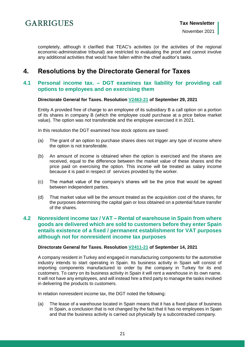

completely, although it clarified that TEAC's activities (or the activities of the regional economic-administrative tribunal) are restricted to evaluating the proof and cannot involve any additional activities that would have fallen within the chief auditor's tasks.

## <span id="page-20-0"></span>**4. Resolutions by the Directorate General for Taxes**

### <span id="page-20-1"></span>**4.1 Personal income tax. – DGT examines tax liability for providing call options to employees and on exercising them**

#### **Directorate General for Taxes. Resolution [V2463-21](https://petete.tributos.hacienda.gob.es/consultas/?num_consulta=V2463-21) of September 29, 2021**

Entity A provided free of charge to an employee of its subsidiary B a call option on a portion of its shares in company B (which the employee could purchase at a price below market value). The option was not transferable and the employee exercised it in 2021.

In this resolution the DGT examined how stock options are taxed:

- (a) The grant of an option to purchase shares does not trigger any type of income where the option is not transferable.
- (b) An amount of income is obtained when the option is exercised and the shares are received, equal to the difference between the market value of these shares and the price paid on exercising the option. This income will be treated as salary income because it is paid in respect of services provided by the worker.
- (c) The market value of the company's shares will be the price that would be agreed between independent parties.
- (d) That market value will be the amount treated as the acquisition cost of the shares, for the purposes determining the capital gain or loss obtained on a potential future transfer of the shares.

## <span id="page-20-2"></span>**4.2 Nonresident income tax / VAT – Rental of warehouse in Spain from where goods are delivered which are sold to customers before they enter Spain entails existence of a fixed / permanent establishment for VAT purposes although not for nonresident income tax purposes**

#### **Directorate General for Taxes. Resolution [V2411-21](https://petete.tributos.hacienda.gob.es/consultas/?num_consulta=V2411-21) of September 14, 2021**

A company resident in Turkey and engaged in manufacturing components for the automotive industry intends to start operating in Spain. Its business activity in Spain will consist of importing components manufactured to order by the company in Turkey for its end customers. To carry on its business activity in Spain it will rent a warehouse in its own name. It will not have any employees, and will instead hire a third party to manage the tasks involved in delivering the products to customers.

In relation nonresident income tax, the DGT noted the following:

(a) The lease of a warehouse located in Spain means that it has a fixed place of business in Spain, a conclusion that is not changed by the fact that it has no employees in Spain and that the business activity is carried out physically by a subcontracted company.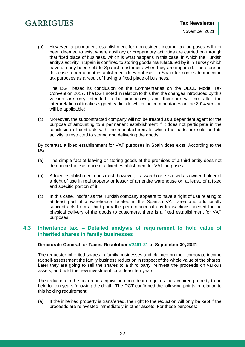(b) However, a permanent establishment for nonresident income tax purposes will not been deemed to exist where auxiliary or preparatory activities are carried on through that fixed place of business, which is what happens in this case, in which the Turkish entity's activity in Spain is confined to storing goods manufactured by it in Turkey which have already been sold to Spanish customers when they are imported. Therefore, in this case a permanent establishment does not exist in Spain for nonresident income tax purposes as a result of having a fixed place of business.

The DGT based its conclusion on the Commentaries on the OECD Model Tax Convention 2017. The DGT noted in relation to this that the changes introduced by this version are only intended to be prospective, and therefore will not alter the interpretation of treaties signed earlier (to which the commentaries on the 2014 version will be applicable).

(c) Moreover, the subcontracted company will not be treated as a dependent agent for the purpose of amounting to a permanent establishment if it does not participate in the conclusion of contracts with the manufacturers to which the parts are sold and its activity is restricted to storing and delivering the goods.

By contrast, a fixed establishment for VAT purposes in Spain does exist. According to the DGT:

- (a) The simple fact of leaving or storing goods at the premises of a third entity does not determine the existence of a fixed establishment for VAT purposes.
- (b) A fixed establishment does exist, however, if a warehouse is used as owner, holder of a right of use in real property or lessor of an entire warehouse or, at least, of a fixed and specific portion of it.
- (c) In this case, insofar as the Turkish company appears to have a right of use relating to at least part of a warehouse located in the Spanish VAT area and additionally subcontracts from a third party the performance of any transactions needed for the physical delivery of the goods to customers, there is a fixed establishment for VAT purposes.

## <span id="page-21-0"></span>**4.3 Inheritance tax. – Detailed analysis of requirement to hold value of inherited shares in family businesses**

#### **Directorate General for Taxes. Resolution [V2491-21](https://petete.tributos.hacienda.gob.es/consultas/?num_consulta=V2491-21) of September 30, 2021**

The requester inherited shares in family businesses and claimed on their corporate income tax self-assessment the family business reduction in respect of the whole value of the shares. Later they are going to sell the shares to a third party, reinvest the proceeds on various assets, and hold the new investment for at least ten years.

The reduction to the tax on an acquisition upon death requires the acquired property to be held for ten years following the death. The DGT confirmed the following points in relation to this holding requirement:

(a) If the inherited property is transferred, the right to the reduction will only be kept if the proceeds are reinvested immediately in other assets. For these purposes: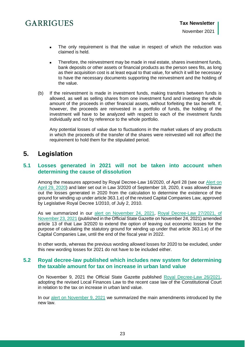- The only requirement is that the value in respect of which the reduction was claimed is held.
- Therefore, the reinvestment may be made in real estate, shares investment funds, bank deposits or other assets or financial products as the person sees fits, as long as their acquisition cost is at least equal to that value, for which it will be necessary to have the necessary documents supporting the reinvestment and the holding of the value.
- (b) If the reinvestment is made in investment funds, making transfers between funds is allowed, as well as selling shares from one investment fund and investing the whole amount of the proceeds in other financial assets, without forfeiting the tax benefit. If, however, the proceeds are reinvested in a portfolio of funds, the holding of the investment will have to be analyzed with respect to each of the investment funds individually and not by reference to the whole portfolio.

Any potential losses of value due to fluctuations in the market values of any products in which the proceeds of the transfer of the shares were reinvested will not affect the requirement to hold them for the stipulated period.

## <span id="page-22-0"></span>**5. Legislation**

## <span id="page-22-1"></span>**5.1 Losses generated in 2021 will not be taken into account when determining the cause of dissolution**

Among the measures approved by Royal Decree-Law 16/2020, of April 28 (see our Alert on [April 29, 2020\)](https://www.garrigues.com/es_ES/noticia/covid-19-publica-real-decreto-ley-que-marca-pasos-seguir-procedimientos-administracion) and later set out in Law 3/2020 of September 18, 2020, it was allowed leave out the losses generated in 2020 from the calculation to determine the existence of the ground for winding up under article 363.1.e) of the revised Capital Companies Law, approved by Legislative Royal Decree 1/2010, of July 2, 2010.

As we summarized in our [alert on November 24, 2021,](https://www.garrigues.com/es_ES/noticia/covid-19-extiende-suspension-regimen-disolucion-perdidas-deber-deudor-solicitar-declaracion) Royal Decree-Law 27/2021, of [November 23, 2021](https://www.boe.es/boe/dias/2021/11/24/pdfs/BOE-A-2021-19305.pdf) (published in the Official State Gazette on November 24, 2021) amended article 13 of that Law 3/2020 to extend the option of leaving out economic losses for the purpose of calculating the statutory ground for winding up under that article 363.1.e) of the Capital Companies Law, until the end of the fiscal year in 2022.

In other words, whereas the previous wording allowed losses for 2020 to be excluded, under this new wording losses for 2021 do not have to be included either.

## <span id="page-22-2"></span>**5.2 Royal decree-law published which includes new system for determining the taxable amount for tax on increase in urban land value**

On November 9, 2021 the Official State Gazette published [Royal Decree-Law 26/2021,](https://www.boe.es/boe/dias/2021/11/09/pdfs/BOE-A-2021-18276.pdf) adopting the revised Local Finances Law to the recent case law of the Constitutional Court in relation to the tax on increase in urban land value.

In our [alert on November 9, 2021](https://www.garrigues.com/es_ES/noticia/gobierno-aprueba-modificacion-plusvalia-municipal) we summarized the main amendments introduced by the new law.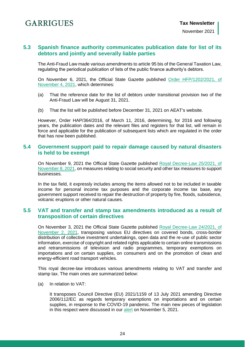## <span id="page-23-0"></span>**5.3 Spanish finance authority communicates publication date for list of its debtors and jointly and severally liable parties**

The Anti-Fraud Law made various amendments to article 95 bis of the General Taxation Law, regulating the periodical publication of lists of the public finance authority's debtors.

On November 6, 2021, the Official State Gazette published [Order HFP/1202/2021, of](https://www.boe.es/boe/dias/2021/11/06/pdfs/BOE-A-2021-18165.pdf)  [November 4, 2021,](https://www.boe.es/boe/dias/2021/11/06/pdfs/BOE-A-2021-18165.pdf) which determines:

- (a) That the reference date for the list of debtors under transitional provision two of the Anti-Fraud Law will be August 31, 2021.
- (b) That the list will be published before December 31, 2021 on AEAT's website.

However, Order HAP/364/2016, of March 11, 2016, determining, for 2016 and following years, the publication dates and the relevant files and registers for that list, will remain in force and applicable for the publication of subsequent lists which are regulated in the order that has now been published.

## <span id="page-23-1"></span>**5.4 Government support paid to repair damage caused by natural disasters is held to be exempt**

On November 9, 2021 the Official State Gazette published [Royal Decree-Law 25/2021, of](https://www.boe.es/boe/dias/2021/11/09/pdfs/BOE-A-2021-18275.pdf)  [November 8, 2021,](https://www.boe.es/boe/dias/2021/11/09/pdfs/BOE-A-2021-18275.pdf) on measures relating to social security and other tax measures to support businesses.

In the tax field, it expressly includes among the items allowed not to be included in taxable income for personal income tax purposes and the corporate income tax base, any government support received to repair the destruction of property by fire, floods, subsidence, volcanic eruptions or other natural causes.

## <span id="page-23-2"></span>**5.5 VAT and transfer and stamp tax amendments introduced as a result of transposition of certain directives**

On November 3, 2021 the Official State Gazette published [Royal Decree-Law 24/2021, of](https://www.boe.es/boe/dias/2021/11/03/pdfs/BOE-A-2021-17910.pdf)  [November 2, 2021,](https://www.boe.es/boe/dias/2021/11/03/pdfs/BOE-A-2021-17910.pdf) transposing various EU directives on covered bonds, cross-border distribution of collective investment undertakings, open data and the re-use of public sector information, exercise of copyright and related rights applicable to certain online transmissions and retransmissions of television and radio programmes, temporary exemptions on importations and on certain supplies, on consumers and on the promotion of clean and energy-efficient road transport vehicles.

This royal decree-law introduces various amendments relating to VAT and transfer and stamp tax. The main ones are summarized below:

(a) In relation to VAT:

It transposes Council Directive (EU) 2021/1159 of 13 July 2021 amending Directive 2006/112/EC as regards temporary exemptions on importations and on certain supplies, in response to the COVID-19 pandemic. The main new pieces of legislation in this respect were discussed in our [alert](https://www.garrigues.com/es_ES/noticia/covid-19-aprueban-nuevas-exenciones-iva-importaciones-determinados-suministros) on November 5, 2021.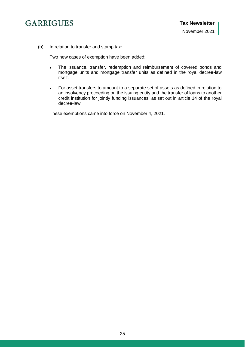

(b) In relation to transfer and stamp tax:

Two new cases of exemption have been added:

- **The issuance, transfer, redemption and reimbursement of covered bonds and** mortgage units and mortgage transfer units as defined in the royal decree-law itself.
- For asset transfers to amount to a separate set of assets as defined in relation to an insolvency proceeding on the issuing entity and the transfer of loans to another credit institution for jointly funding issuances, as set out in article 14 of the royal decree-law.

These exemptions came into force on November 4, 2021.